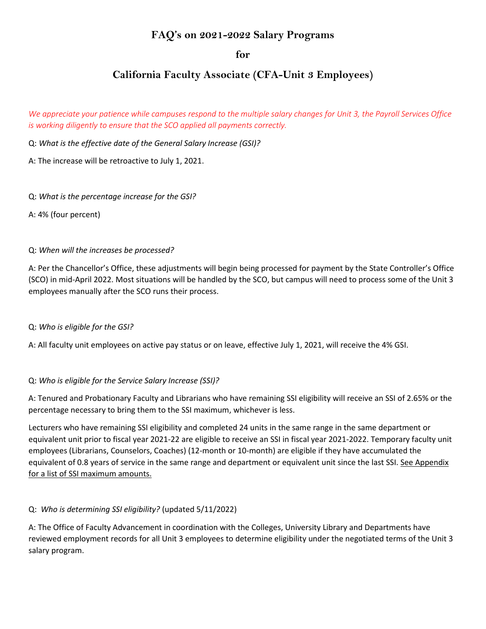# **FAQ's on 2021-2022 Salary Programs**

**for**

# **California Faculty Associate (CFA-Unit 3 Employees)**

We appreciate your patience while campuses respond to the multiple salary changes for Unit 3, the Payroll Services Office *is working diligently to ensure that the SCO applied all payments correctly.*

Q: *What is the effective date of the General Salary Increase (GSI)?*

A: The increase will be retroactive to July 1, 2021.

Q: *What is the percentage increase for the GSI?*

A: 4% (four percent)

#### Q: *When will the increases be processed?*

A: Per the Chancellor's Office, these adjustments will begin being processed for payment by the State Controller's Office (SCO) in mid-April 2022. Most situations will be handled by the SCO, but campus will need to process some of the Unit 3 employees manually after the SCO runs their process.

#### Q: *Who is eligible for the GSI?*

A: All faculty unit employees on active pay status or on leave, effective July 1, 2021, will receive the 4% GSI.

### Q: *Who is eligible for the Service Salary Increase (SSI)?*

A: Tenured and Probationary Faculty and Librarians who have remaining SSI eligibility will receive an SSI of 2.65% or the percentage necessary to bring them to the SSI maximum, whichever is less.

Lecturers who have remaining SSI eligibility and completed 24 units in the same range in the same department or equivalent unit prior to fiscal year 2021-22 are eligible to receive an SSI in fiscal year 2021-2022. Temporary faculty unit employees (Librarians, Counselors, Coaches) (12-month or 10-month) are eligible if they have accumulated the equivalent of 0.8 years of service in the same range and department or equivalent unit since the last SSI. See Appendix for a list of SSI maximum amounts.

### Q: *Who is determining SSI eligibility?* (updated 5/11/2022)

A: The Office of Faculty Advancement in coordination with the Colleges, University Library and Departments have reviewed employment records for all Unit 3 employees to determine eligibility under the negotiated terms of the Unit 3 salary program.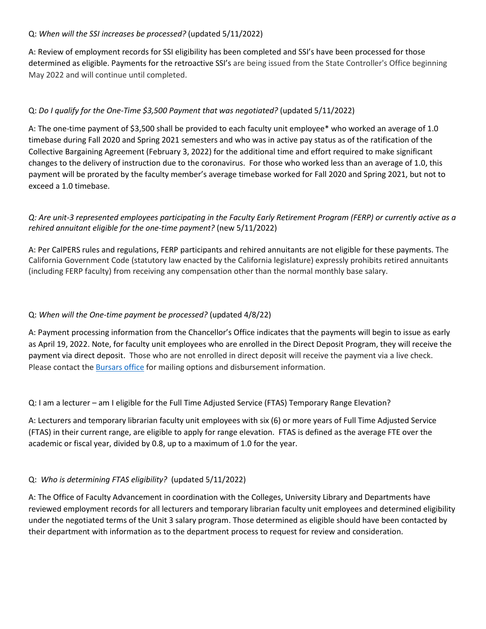#### Q: *When will the SSI increases be processed?* (updated 5/11/2022)

A: Review of employment records for SSI eligibility has been completed and SSI's have been processed for those determined as eligible. Payments for the retroactive SSI's are being issued from the State Controller's Office beginning May 2022 and will continue until completed.

## Q: *Do I qualify for the One-Time \$3,500 Payment that was negotiated?* (updated 5/11/2022)

A: The one-time payment of \$3,500 shall be provided to each faculty unit employee\* who worked an average of 1.0 timebase during Fall 2020 and Spring 2021 semesters and who was in active pay status as of the ratification of the Collective Bargaining Agreement (February 3, 2022) for the additional time and effort required to make significant changes to the delivery of instruction due to the coronavirus. For those who worked less than an average of 1.0, this payment will be prorated by the faculty member's average timebase worked for Fall 2020 and Spring 2021, but not to exceed a 1.0 timebase.

## *Q: Are unit-3 represented employees participating in the Faculty Early Retirement Program (FERP) or currently active as a rehired annuitant eligible for the one-time payment?* (new 5/11/2022)

A: Per CalPERS rules and regulations, FERP participants and rehired annuitants are not eligible for these payments. The California Government Code (statutory law enacted by the California legislature) expressly prohibits retired annuitants (including FERP faculty) from receiving any compensation other than the normal monthly base salary.

### Q: *When will the One-time payment be processed?* (updated 4/8/22)

A: Payment processing information from the Chancellor's Office indicates that the payments will begin to issue as early as April 19, 2022. Note, for faculty unit employees who are enrolled in the Direct Deposit Program, they will receive the payment via direct deposit. Those who are not enrolled in direct deposit will receive the payment via a live check. Please contact the [Bursars](https://www.csus.edu/administration-business-affairs/bursar/payroll-check-disbursement.html) office for mailing options and disbursement information.

Q: I am a lecturer – am I eligible for the Full Time Adjusted Service (FTAS) Temporary Range Elevation?

A: Lecturers and temporary librarian faculty unit employees with six (6) or more years of Full Time Adjusted Service (FTAS) in their current range, are eligible to apply for range elevation. FTAS is defined as the average FTE over the academic or fiscal year, divided by 0.8, up to a maximum of 1.0 for the year.

### Q: *Who is determining FTAS eligibility?* (updated 5/11/2022)

A: The Office of Faculty Advancement in coordination with the Colleges, University Library and Departments have reviewed employment records for all lecturers and temporary librarian faculty unit employees and determined eligibility under the negotiated terms of the Unit 3 salary program. Those determined as eligible should have been contacted by their department with information as to the department process to request for review and consideration.